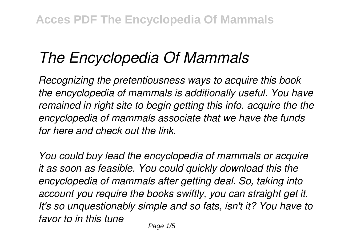## *The Encyclopedia Of Mammals*

*Recognizing the pretentiousness ways to acquire this book the encyclopedia of mammals is additionally useful. You have remained in right site to begin getting this info. acquire the the encyclopedia of mammals associate that we have the funds for here and check out the link.*

*You could buy lead the encyclopedia of mammals or acquire it as soon as feasible. You could quickly download this the encyclopedia of mammals after getting deal. So, taking into account you require the books swiftly, you can straight get it. It's so unquestionably simple and so fats, isn't it? You have to favor to in this tune*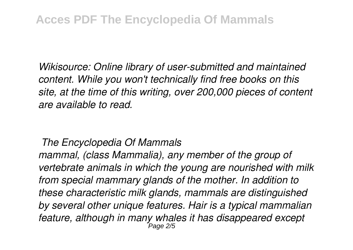*Wikisource: Online library of user-submitted and maintained content. While you won't technically find free books on this site, at the time of this writing, over 200,000 pieces of content are available to read.*

## *The Encyclopedia Of Mammals*

*mammal, (class Mammalia), any member of the group of vertebrate animals in which the young are nourished with milk from special mammary glands of the mother. In addition to these characteristic milk glands, mammals are distinguished by several other unique features. Hair is a typical mammalian feature, although in many whales it has disappeared except* Page 2/5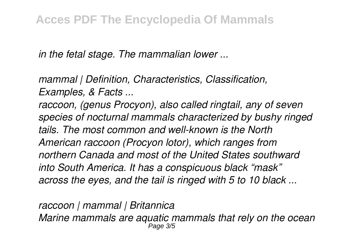*in the fetal stage. The mammalian lower ...*

*mammal | Definition, Characteristics, Classification, Examples, & Facts ...*

*raccoon, (genus Procyon), also called ringtail, any of seven species of nocturnal mammals characterized by bushy ringed tails. The most common and well-known is the North American raccoon (Procyon lotor), which ranges from northern Canada and most of the United States southward into South America. It has a conspicuous black "mask" across the eyes, and the tail is ringed with 5 to 10 black ...*

*raccoon | mammal | Britannica Marine mammals are aquatic mammals that rely on the ocean* Page 3/5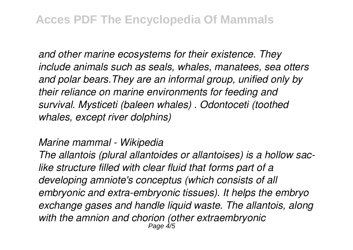*and other marine ecosystems for their existence. They include animals such as seals, whales, manatees, sea otters and polar bears.They are an informal group, unified only by their reliance on marine environments for feeding and survival. Mysticeti (baleen whales) . Odontoceti (toothed whales, except river dolphins)*

## *Marine mammal - Wikipedia*

*The allantois (plural allantoides or allantoises) is a hollow saclike structure filled with clear fluid that forms part of a developing amniote's conceptus (which consists of all embryonic and extra-embryonic tissues). It helps the embryo exchange gases and handle liquid waste. The allantois, along with the amnion and chorion (other extraembryonic* Page 4/5